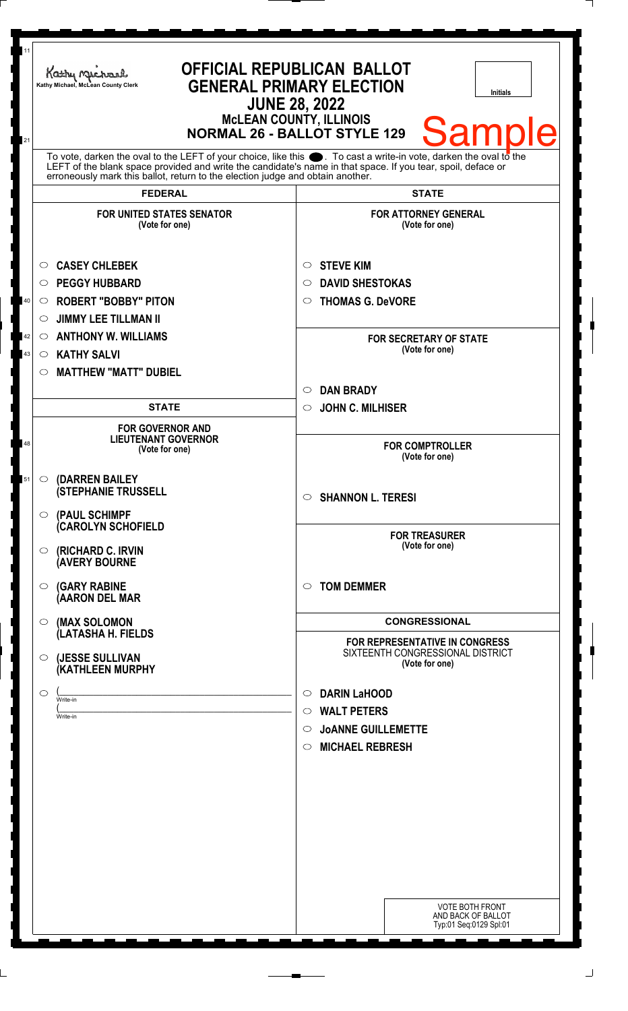| 11                       | <b>OFFICIAL REPUBLICAN BALLOT</b><br>Kathy Michael<br><b>GENERAL PRIMARY ELECTION</b><br>Kathy Michael, McLean County Clerk<br><b>Initials</b><br><b>JUNE 28, 2022</b><br><b>McLEAN COUNTY, ILLINOIS</b>                                                                                                                                                                             |                                                                                                                                                           |
|--------------------------|--------------------------------------------------------------------------------------------------------------------------------------------------------------------------------------------------------------------------------------------------------------------------------------------------------------------------------------------------------------------------------------|-----------------------------------------------------------------------------------------------------------------------------------------------------------|
| 21                       | <b>Sample</b><br><b>NORMAL 26 - BALLOT STYLE 129</b><br>To vote, darken the oval to the LEFT of your choice, like this $\bullet$ . To cast a write-in vote, darken the oval to the<br>LEFT of the blank space provided and write the candidate's name in that space. If you tear, spoil, deface or<br>erroneously mark this ballot, return to the election judge and obtain another. |                                                                                                                                                           |
|                          | <b>FEDERAL</b>                                                                                                                                                                                                                                                                                                                                                                       | <b>STATE</b>                                                                                                                                              |
|                          | <b>FOR UNITED STATES SENATOR</b><br>(Vote for one)                                                                                                                                                                                                                                                                                                                                   | <b>FOR ATTORNEY GENERAL</b><br>(Vote for one)                                                                                                             |
| $40\,$<br>42<br>$\bf 43$ | <b>CASEY CHLEBEK</b><br>$\circ$<br><b>PEGGY HUBBARD</b><br>$\circ$<br><b>ROBERT "BOBBY" PITON</b><br>$\circ$<br><b>JIMMY LEE TILLMAN II</b><br>$\circ$<br><b>ANTHONY W. WILLIAMS</b><br>$\circ$<br><b>KATHY SALVI</b><br>$\circ$<br><b>MATTHEW "MATT" DUBIEL</b><br>$\circ$                                                                                                          | <b>STEVE KIM</b><br>$\circ$<br><b>DAVID SHESTOKAS</b><br>$\circ$<br><b>THOMAS G. DeVORE</b><br>$\circ$<br><b>FOR SECRETARY OF STATE</b><br>(Vote for one) |
|                          |                                                                                                                                                                                                                                                                                                                                                                                      | <b>DAN BRADY</b><br>$\circ$                                                                                                                               |
|                          | <b>STATE</b>                                                                                                                                                                                                                                                                                                                                                                         | <b>JOHN C. MILHISER</b><br>$\circ$                                                                                                                        |
| 48                       | <b>FOR GOVERNOR AND</b><br><b>LIEUTENANT GOVERNOR</b><br>(Vote for one)                                                                                                                                                                                                                                                                                                              | <b>FOR COMPTROLLER</b><br>(Vote for one)                                                                                                                  |
| 51                       | (DARREN BAILEY<br>$\circ$<br><b>(STEPHANIE TRUSSELL</b><br>$\circ$ (PAUL SCHIMPF                                                                                                                                                                                                                                                                                                     | <b>SHANNON L. TERESI</b><br>$\circ$                                                                                                                       |
|                          | <b>CAROLYN SCHOFIELD</b><br>(RICHARD C. IRVIN<br>$\circ$<br><b>(AVERY BOURNE</b>                                                                                                                                                                                                                                                                                                     | <b>FOR TREASURER</b><br>(Vote for one)                                                                                                                    |
|                          | <b>(GARY RABINE</b><br>$\circ$<br>(AARON DEL MAR                                                                                                                                                                                                                                                                                                                                     | <b>TOM DEMMER</b><br>$\bigcirc$                                                                                                                           |
|                          | (MAX SOLOMON<br>$\bigcirc$                                                                                                                                                                                                                                                                                                                                                           | <b>CONGRESSIONAL</b>                                                                                                                                      |
|                          | (LATASHA H. FIELDS<br>(JESSE SULLIVAN<br>$\circ$<br>(KATHLEEN MURPHY                                                                                                                                                                                                                                                                                                                 | FOR REPRESENTATIVE IN CONGRESS<br>SIXTEENTH CONGRESSIONAL DISTRICT<br>(Vote for one)                                                                      |
|                          | $\circ$<br>Write-in<br>Write-in                                                                                                                                                                                                                                                                                                                                                      | <b>DARIN LaHOOD</b><br>$\circ$<br><b>WALT PETERS</b><br>$\circ$<br><b>JOANNE GUILLEMETTE</b><br>$\circ$<br><b>MICHAEL REBRESH</b><br>$\circ$              |
|                          |                                                                                                                                                                                                                                                                                                                                                                                      | <b>VOTE BOTH FRONT</b><br>AND BACK OF BALLOT<br>Typ:01 Seq:0129 Spl:01                                                                                    |